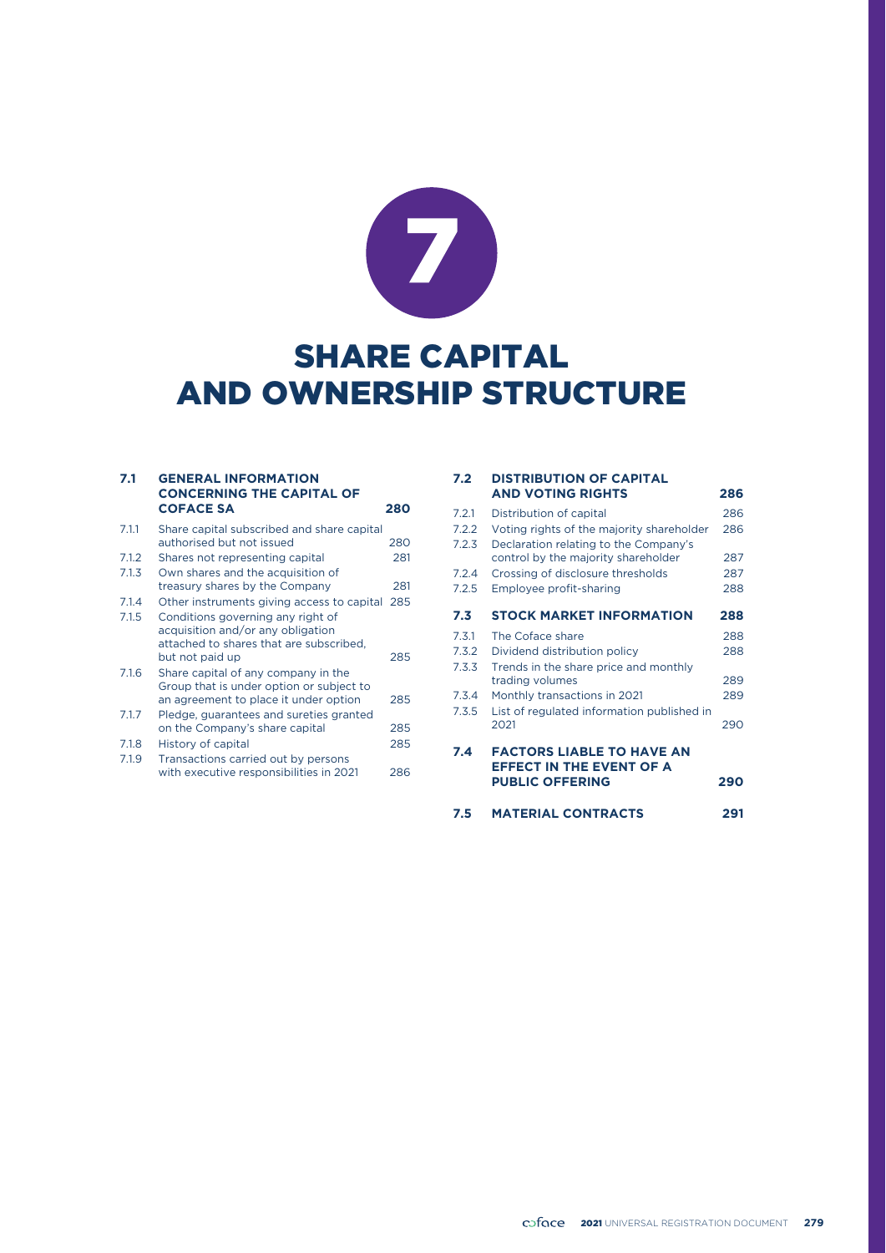

# SHARE CAPITAL AND OWNERSHIP STRUCTURE

#### **7.1 GENERAL INFORMATION CONCERNING THE CAPITAL OF COFACE SA 280** 7.1.1 Share capital subscribed and share capital

|       | authorised but not issued                  | 280 |
|-------|--------------------------------------------|-----|
| 7.1.2 | Shares not representing capital            | 281 |
| 7.1.3 | Own shares and the acquisition of          |     |
|       | treasury shares by the Company             | 281 |
| 7.1.4 | Other instruments giving access to capital | 285 |
| 7.1.5 | Conditions governing any right of          |     |
|       | acquisition and/or any obligation          |     |
|       | attached to shares that are subscribed.    |     |
|       | but not paid up                            | 285 |
| 7.1.6 | Share capital of any company in the        |     |
|       | Group that is under option or subject to   |     |
|       | an agreement to place it under option      | 285 |
| 7.1.7 | Pledge, guarantees and sureties granted    |     |
|       | on the Company's share capital             | 285 |
| 7.1.8 | History of capital                         | 285 |
| 7.1.9 | Transactions carried out by persons        |     |
|       | with executive responsibilities in 2021    | 286 |

#### **7.2 DISTRIBUTION OF CAPITAL AND VOTING RIGHTS 286**

| <b>FACTORS LIABLE TO HAVE AN</b><br><b>EFFECT IN THE EVENT OF A</b><br><b>PUBLIC OFFERING</b> | 290                                                                                 |
|-----------------------------------------------------------------------------------------------|-------------------------------------------------------------------------------------|
| 2021                                                                                          | 290                                                                                 |
| Monthly transactions in 2021                                                                  | 289                                                                                 |
| trading volumes                                                                               | 289                                                                                 |
| Dividend distribution policy                                                                  | 288                                                                                 |
| The Coface share                                                                              | 288                                                                                 |
| <b>STOCK MARKET INFORMATION</b>                                                               | 288                                                                                 |
| Employee profit-sharing                                                                       | 288                                                                                 |
| Crossing of disclosure thresholds                                                             | 287                                                                                 |
| Declaration relating to the Company's<br>control by the majority shareholder                  | 287                                                                                 |
| Voting rights of the majority shareholder                                                     | 286                                                                                 |
| Distribution of capital                                                                       | 286                                                                                 |
|                                                                                               | Trends in the share price and monthly<br>List of regulated information published in |

#### **7.5 MATERIAL CONTRACTS 291**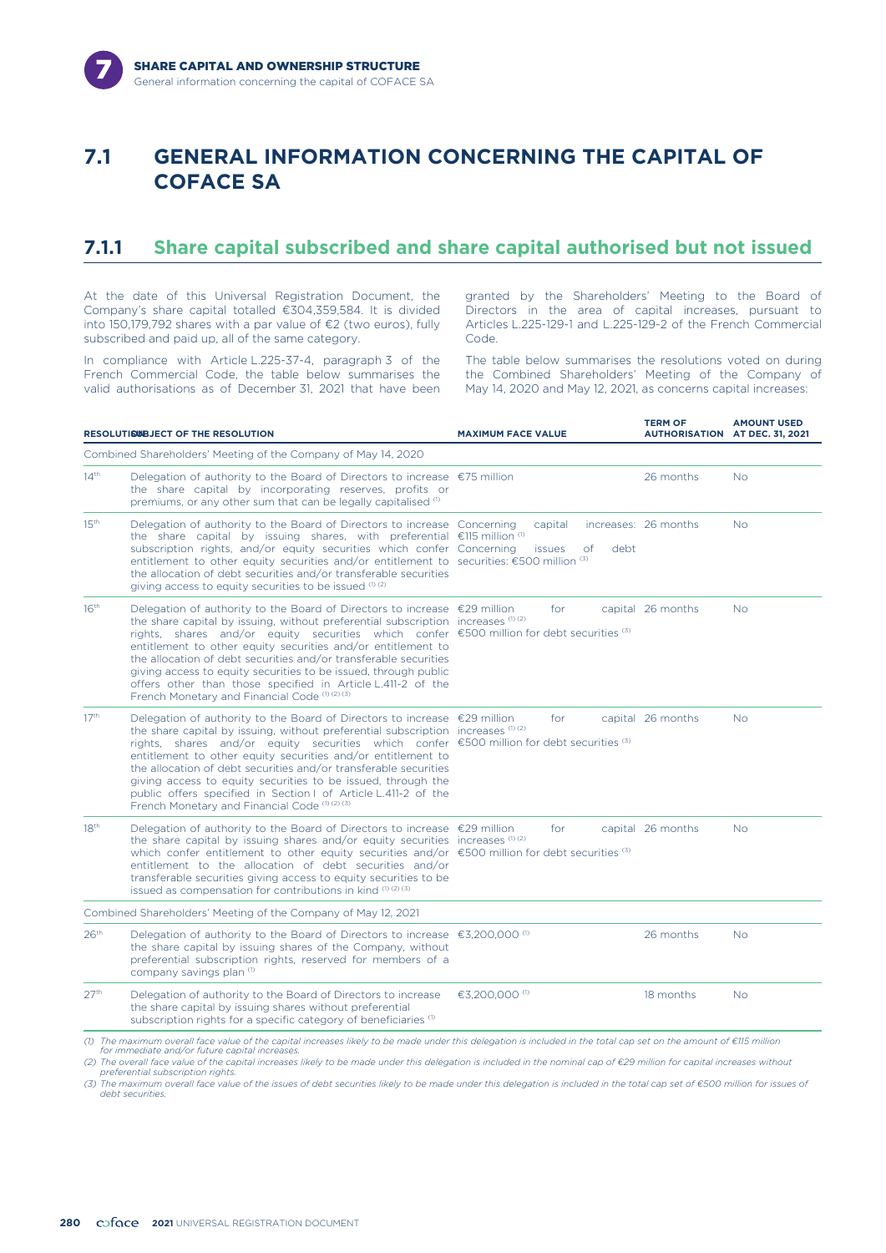

### **7.1 GENERAL INFORMATION CONCERNING THE CAPITAL OF COFACE SA**

#### **7.1.1 Share capital subscribed and share capital authorised but not issued**

At the date of this Universal Registration Document, the Company's share capital totalled €304,359,584. It is divided into 150,179,792 shares with a par value of €2 (two euros), fully subscribed and paid up, all of the same category.

In compliance with Article L.225-37-4, paragraph 3 of the French Commercial Code, the table below summarises the valid authorisations as of December 31, 2021 that have been granted by the Shareholders' Meeting to the Board of Directors in the area of capital increases, pursuant to Articles L.225-129-1 and L.225-129-2 of the French Commercial Code.

The table below summarises the resolutions voted on during the Combined Shareholders' Meeting of the Company of May 14, 2020 and May 12, 2021, as concerns capital increases:

|                  | RESOLUTISUBJECT OF THE RESOLUTION                                                                                                                                                                                                                                                                                                                                                                                                                                                                                                                                                                        | <b>MAXIMUM FACE VALUE</b>              | <b>TERM OF</b><br><b>AUTHORISATION AT DEC. 31, 2021</b> | <b>AMOUNT USED</b> |
|------------------|----------------------------------------------------------------------------------------------------------------------------------------------------------------------------------------------------------------------------------------------------------------------------------------------------------------------------------------------------------------------------------------------------------------------------------------------------------------------------------------------------------------------------------------------------------------------------------------------------------|----------------------------------------|---------------------------------------------------------|--------------------|
|                  | Combined Shareholders' Meeting of the Company of May 14, 2020                                                                                                                                                                                                                                                                                                                                                                                                                                                                                                                                            |                                        |                                                         |                    |
| 14 <sup>th</sup> | Delegation of authority to the Board of Directors to increase $\epsilon$ 75 million<br>the share capital by incorporating reserves, profits or<br>premiums, or any other sum that can be legally capitalised (1)                                                                                                                                                                                                                                                                                                                                                                                         |                                        | 26 months                                               | <b>No</b>          |
| 15 <sup>th</sup> | Delegation of authority to the Board of Directors to increase Concerning<br>the share capital by issuing shares, with preferential $\epsilon$ 115 million $\sigma$<br>subscription rights, and/or equity securities which confer Concerning<br>entitlement to other equity securities and/or entitlement to securities: €500 million (3)<br>the allocation of debt securities and/or transferable securities<br>giving access to equity securities to be issued $(1)(2)$                                                                                                                                 | capital<br>debt<br><i>issues</i><br>of | increases: 26 months                                    | <b>No</b>          |
| 16 <sup>th</sup> | Delegation of authority to the Board of Directors to increase €29 million<br>the share capital by issuing, without preferential subscription increases (1)(2)<br>rights, shares and/or equity securities which confer $\epsilon$ 500 million for debt securities (3)<br>entitlement to other equity securities and/or entitlement to<br>the allocation of debt securities and/or transferable securities<br>giving access to equity securities to be issued, through public<br>offers other than those specified in Article L.411-2 of the<br>French Monetary and Financial Code (1) (2) (3)             | for                                    | capital 26 months                                       | <b>No</b>          |
| 17 <sup>th</sup> | Delegation of authority to the Board of Directors to increase $\epsilon$ 29 million<br>the share capital by issuing, without preferential subscription increases $(0, 2)$<br>rights, shares and/or equity securities which confer $\epsilon$ 500 million for debt securities (3)<br>entitlement to other equity securities and/or entitlement to<br>the allocation of debt securities and/or transferable securities<br>giving access to equity securities to be issued, through the<br>public offers specified in Section I of Article L.411-2 of the<br>French Monetary and Financial Code (1) (2) (3) | for                                    | capital 26 months                                       | <b>No</b>          |
| 18 <sup>th</sup> | Delegation of authority to the Board of Directors to increase $\epsilon$ 29 million<br>the share capital by issuing shares and/or equity securities increases (1) (2)<br>which confer entitlement to other equity securities and/or $\epsilon$ 500 million for debt securities (3)<br>entitlement to the allocation of debt securities and/or<br>transferable securities giving access to equity securities to be<br>issued as compensation for contributions in kind $(1)(2)(3)$                                                                                                                        | for                                    | capital 26 months                                       | <b>No</b>          |
|                  | Combined Shareholders' Meeting of the Company of May 12, 2021                                                                                                                                                                                                                                                                                                                                                                                                                                                                                                                                            |                                        |                                                         |                    |
| 26 <sup>th</sup> | Delegation of authority to the Board of Directors to increase $\epsilon$ 3,200,000 <sup>(0)</sup><br>the share capital by issuing shares of the Company, without<br>preferential subscription rights, reserved for members of a<br>company savings plan (1)                                                                                                                                                                                                                                                                                                                                              |                                        | 26 months                                               | <b>No</b>          |
| 27 <sup>th</sup> | Delegation of authority to the Board of Directors to increase<br>the share capital by issuing shares without preferential<br>subscription rights for a specific category of beneficiaries <sup>(1)</sup>                                                                                                                                                                                                                                                                                                                                                                                                 | €3,200,000 <sup>(1)</sup>              | 18 months                                               | <b>No</b>          |

*(2) The overall face value of the capital increases likely to be made under this delegation is included in the nominal cap of €29 million for capital increases without preferential subscription rights.*

*(3) The maximum overall face value of the issues of debt securities likely to be made under this delegation is included in the total cap set of €500 million for issues of debt securities.*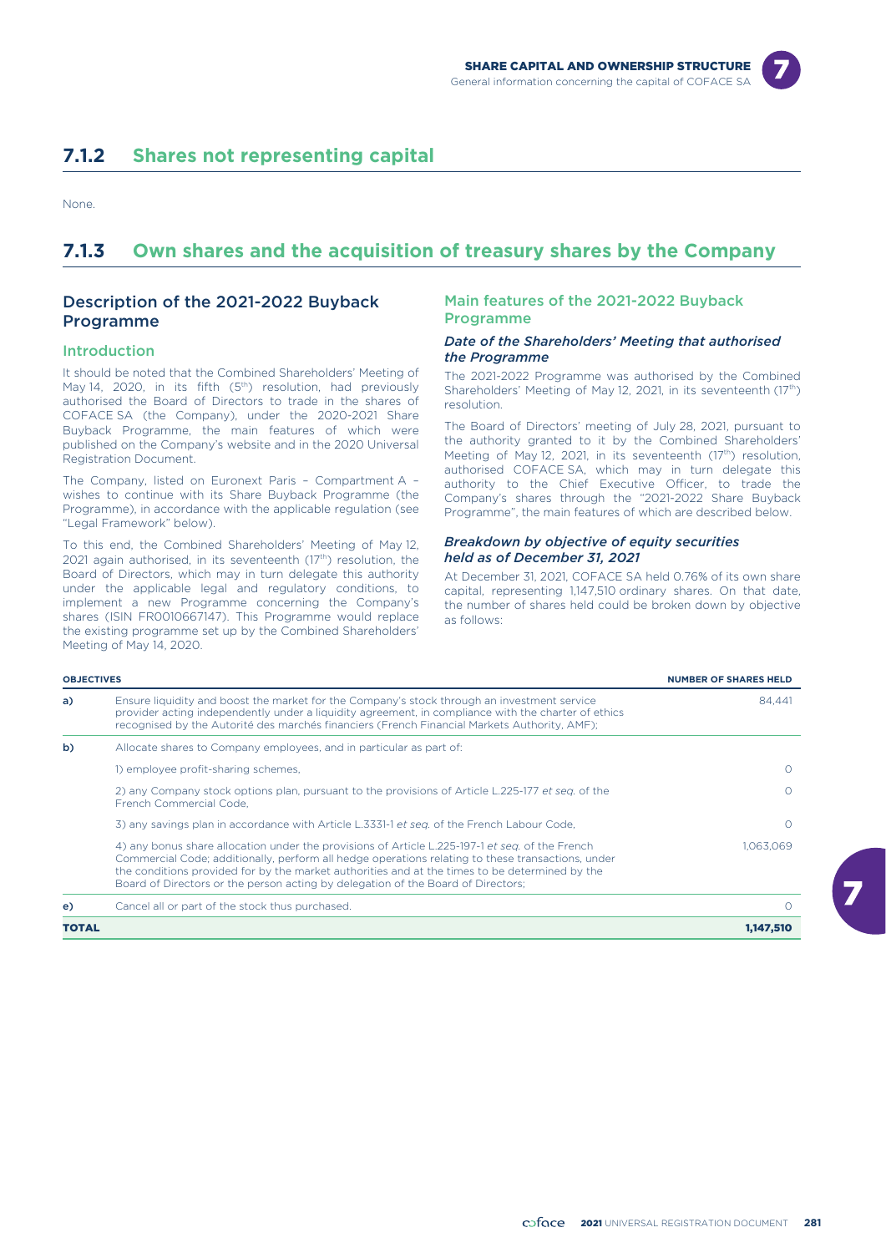

### **7.1.2 Shares not representing capital**

None.

### **7.1.3 Own shares and the acquisition of treasury shares by the Company**

#### Description of the 2021-2022 Buyback Programme

#### Introduction

It should be noted that the Combined Shareholders' Meeting of May 14, 2020, in its fifth (5<sup>th</sup>) resolution, had previously authorised the Board of Directors to trade in the shares of COFACE SA (the Company), under the 2020-2021 Share Buyback Programme, the main features of which were published on the Company's website and in the 2020 Universal Registration Document.

The Company, listed on Euronext Paris – Compartment A – wishes to continue with its Share Buyback Programme (the Programme), in accordance with the applicable regulation (see "Legal Framework" below).

To this end, the Combined Shareholders' Meeting of May 12, 2021 again authorised, in its seventeenth (17<sup>th</sup>) resolution, the Board of Directors, which may in turn delegate this authority under the applicable legal and regulatory conditions, to implement a new Programme concerning the Company's shares (ISIN FR0010667147). This Programme would replace the existing programme set up by the Combined Shareholders' Meeting of May 14, 2020.

#### Main features of the 2021-2022 Buyback Programme

#### *Date of the Shareholders' Meeting that authorised the Programme*

The 2021-2022 Programme was authorised by the Combined Shareholders' Meeting of May 12, 2021, in its seventeenth (17<sup>th</sup>) resolution.

The Board of Directors' meeting of July 28, 2021, pursuant to the authority granted to it by the Combined Shareholders' Meeting of May 12, 2021, in its seventeenth (17<sup>th</sup>) resolution, authorised COFACE SA, which may in turn delegate this authority to the Chief Executive Officer, to trade the Company's shares through the "2021-2022 Share Buyback Programme", the main features of which are described below.

#### *Breakdown by objective of equity securities held as of December 31, 2021*

At December 31, 2021, COFACE SA held 0.76% of its own share capital, representing 1,147,510 ordinary shares. On that date, the number of shares held could be broken down by objective as follows:

| <b>OBJECTIVES</b> |                                                                                                                                                                                                                                                                                                                                                                                            | <b>NUMBER OF SHARES HELD</b> |
|-------------------|--------------------------------------------------------------------------------------------------------------------------------------------------------------------------------------------------------------------------------------------------------------------------------------------------------------------------------------------------------------------------------------------|------------------------------|
| a)                | Ensure liquidity and boost the market for the Company's stock through an investment service<br>provider acting independently under a liquidity agreement, in compliance with the charter of ethics<br>recognised by the Autorité des marchés financiers (French Financial Markets Authority, AMF);                                                                                         | 84.441                       |
| b)                | Allocate shares to Company employees, and in particular as part of:                                                                                                                                                                                                                                                                                                                        |                              |
|                   | 1) employee profit-sharing schemes,                                                                                                                                                                                                                                                                                                                                                        |                              |
|                   | 2) any Company stock options plan, pursuant to the provisions of Article L.225-177 et seg. of the<br>French Commercial Code.                                                                                                                                                                                                                                                               |                              |
|                   | 3) any savings plan in accordance with Article L.3331-1 et seq. of the French Labour Code,                                                                                                                                                                                                                                                                                                 |                              |
|                   | 4) any bonus share allocation under the provisions of Article L.225-197-1 et seq. of the French<br>Commercial Code; additionally, perform all hedge operations relating to these transactions, under<br>the conditions provided for by the market authorities and at the times to be determined by the<br>Board of Directors or the person acting by delegation of the Board of Directors; | 1.063.069                    |
| e)                | Cancel all or part of the stock thus purchased.                                                                                                                                                                                                                                                                                                                                            |                              |
| <b>TOTAL</b>      |                                                                                                                                                                                                                                                                                                                                                                                            | 1,147,510                    |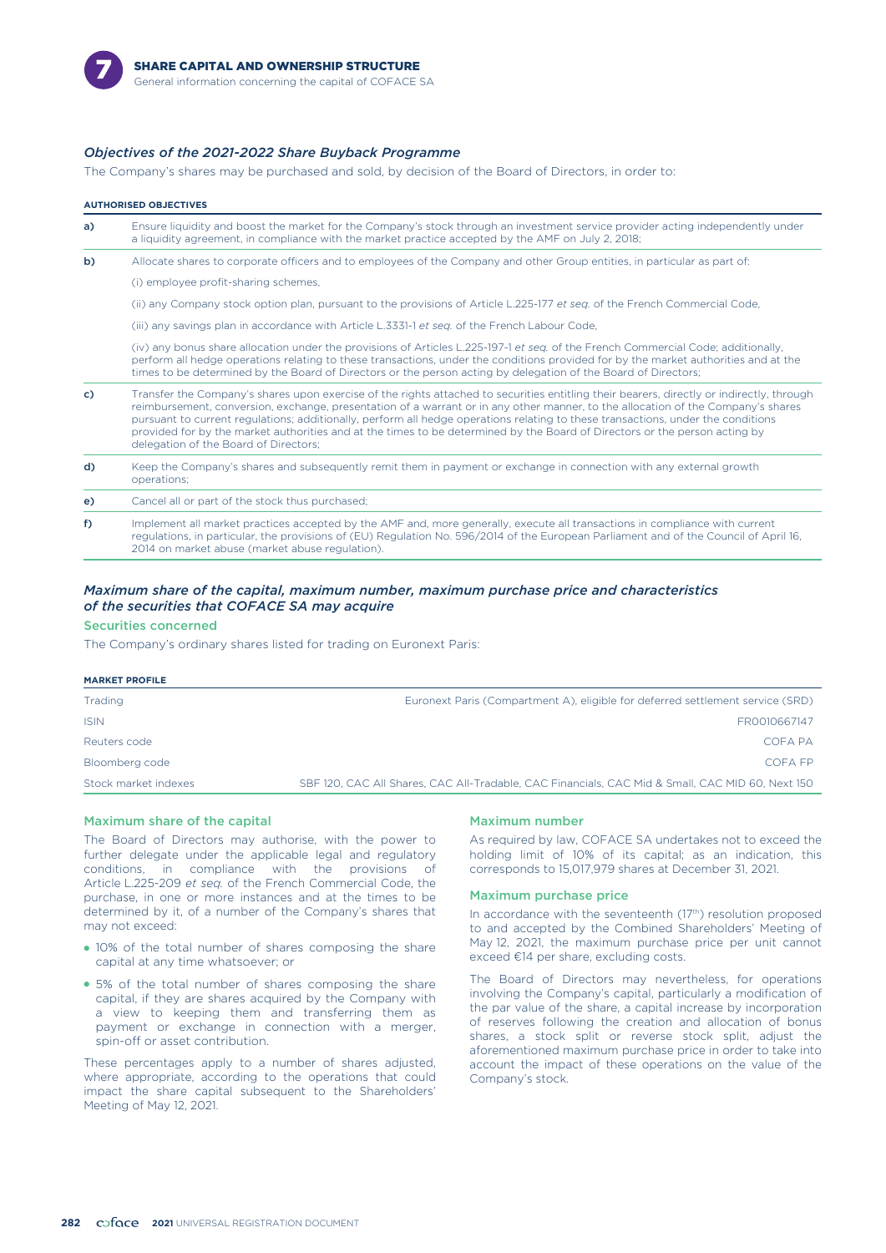

#### *Objectives of the 2021-2022 Share Buyback Programme*

The Company's shares may be purchased and sold, by decision of the Board of Directors, in order to:

|    | <b>AUTHORISED OBJECTIVES</b>                                                                                                                                                                                                                                                                                                                                                                                                                                                                                                                                                             |
|----|------------------------------------------------------------------------------------------------------------------------------------------------------------------------------------------------------------------------------------------------------------------------------------------------------------------------------------------------------------------------------------------------------------------------------------------------------------------------------------------------------------------------------------------------------------------------------------------|
| a) | Ensure liquidity and boost the market for the Company's stock through an investment service provider acting independently under<br>a liquidity agreement, in compliance with the market practice accepted by the AMF on July 2, 2018;                                                                                                                                                                                                                                                                                                                                                    |
| b) | Allocate shares to corporate officers and to employees of the Company and other Group entities, in particular as part of:                                                                                                                                                                                                                                                                                                                                                                                                                                                                |
|    | (i) employee profit-sharing schemes,                                                                                                                                                                                                                                                                                                                                                                                                                                                                                                                                                     |
|    | (ii) any Company stock option plan, pursuant to the provisions of Article L.225-177 et seq. of the French Commercial Code,                                                                                                                                                                                                                                                                                                                                                                                                                                                               |
|    | (iii) any savings plan in accordance with Article L.3331-1 et seq. of the French Labour Code,                                                                                                                                                                                                                                                                                                                                                                                                                                                                                            |
|    | (iv) any bonus share allocation under the provisions of Articles L.225-197-1 et seq. of the French Commercial Code; additionally,<br>perform all hedge operations relating to these transactions, under the conditions provided for by the market authorities and at the<br>times to be determined by the Board of Directors or the person acting by delegation of the Board of Directors;                                                                                                                                                                                               |
| c) | Transfer the Company's shares upon exercise of the rights attached to securities entitling their bearers, directly or indirectly, through<br>reimbursement, conversion, exchange, presentation of a warrant or in any other manner, to the allocation of the Company's shares<br>pursuant to current regulations; additionally, perform all hedge operations relating to these transactions, under the conditions<br>provided for by the market authorities and at the times to be determined by the Board of Directors or the person acting by<br>delegation of the Board of Directors; |
| d) | Keep the Company's shares and subsequently remit them in payment or exchange in connection with any external growth<br>operations;                                                                                                                                                                                                                                                                                                                                                                                                                                                       |
| e) | Cancel all or part of the stock thus purchased;                                                                                                                                                                                                                                                                                                                                                                                                                                                                                                                                          |
| f) | Implement all market practices accepted by the AMF and, more generally, execute all transactions in compliance with current<br>regulations, in particular, the provisions of (EU) Regulation No. 596/2014 of the European Parliament and of the Council of April 16,<br>2014 on market abuse (market abuse regulation).                                                                                                                                                                                                                                                                  |

#### *Maximum share of the capital, maximum number, maximum purchase price and characteristics of the securities that COFACE SA may acquire*

#### Securities concerned

The Company's ordinary shares listed for trading on Euronext Paris:

| <b>MARKET PROFILE</b> |                                                                                                  |
|-----------------------|--------------------------------------------------------------------------------------------------|
| Trading               | Euronext Paris (Compartment A), eligible for deferred settlement service (SRD)                   |
| <b>ISIN</b>           | FR0010667147                                                                                     |
| Reuters code          | COFA PA                                                                                          |
| Bloomberg code        | COEA EP                                                                                          |
| Stock market indexes  | SBF 120, CAC All Shares, CAC All-Tradable, CAC Financials, CAC Mid & Small, CAC MID 60, Next 150 |
|                       |                                                                                                  |

#### Maximum share of the capital

The Board of Directors may authorise, with the power to further delegate under the applicable legal and regulatory conditions, in compliance with the provisions of in compliance with the provisions of Article L.225-209 *et seq.* of the French Commercial Code, the purchase, in one or more instances and at the times to be determined by it, of a number of the Company's shares that may not exceed:

- 10% of the total number of shares composing the share capital at any time whatsoever; or
- 5% of the total number of shares composing the share capital, if they are shares acquired by the Company with a view to keeping them and transferring them as payment or exchange in connection with a merger, spin-off or asset contribution.

These percentages apply to a number of shares adjusted, where appropriate, according to the operations that could impact the share capital subsequent to the Shareholders' Meeting of May 12, 2021.

#### Maximum number

As required by law, COFACE SA undertakes not to exceed the holding limit of 10% of its capital; as an indication, this corresponds to 15,017,979 shares at December 31, 2021.

#### Maximum purchase price

In accordance with the seventeenth  $(17<sup>th</sup>)$  resolution proposed to and accepted by the Combined Shareholders' Meeting of May 12, 2021, the maximum purchase price per unit cannot exceed €14 per share, excluding costs.

The Board of Directors may nevertheless, for operations involving the Company's capital, particularly a modification of the par value of the share, a capital increase by incorporation of reserves following the creation and allocation of bonus shares, a stock split or reverse stock split, adjust the aforementioned maximum purchase price in order to take into account the impact of these operations on the value of the Company's stock.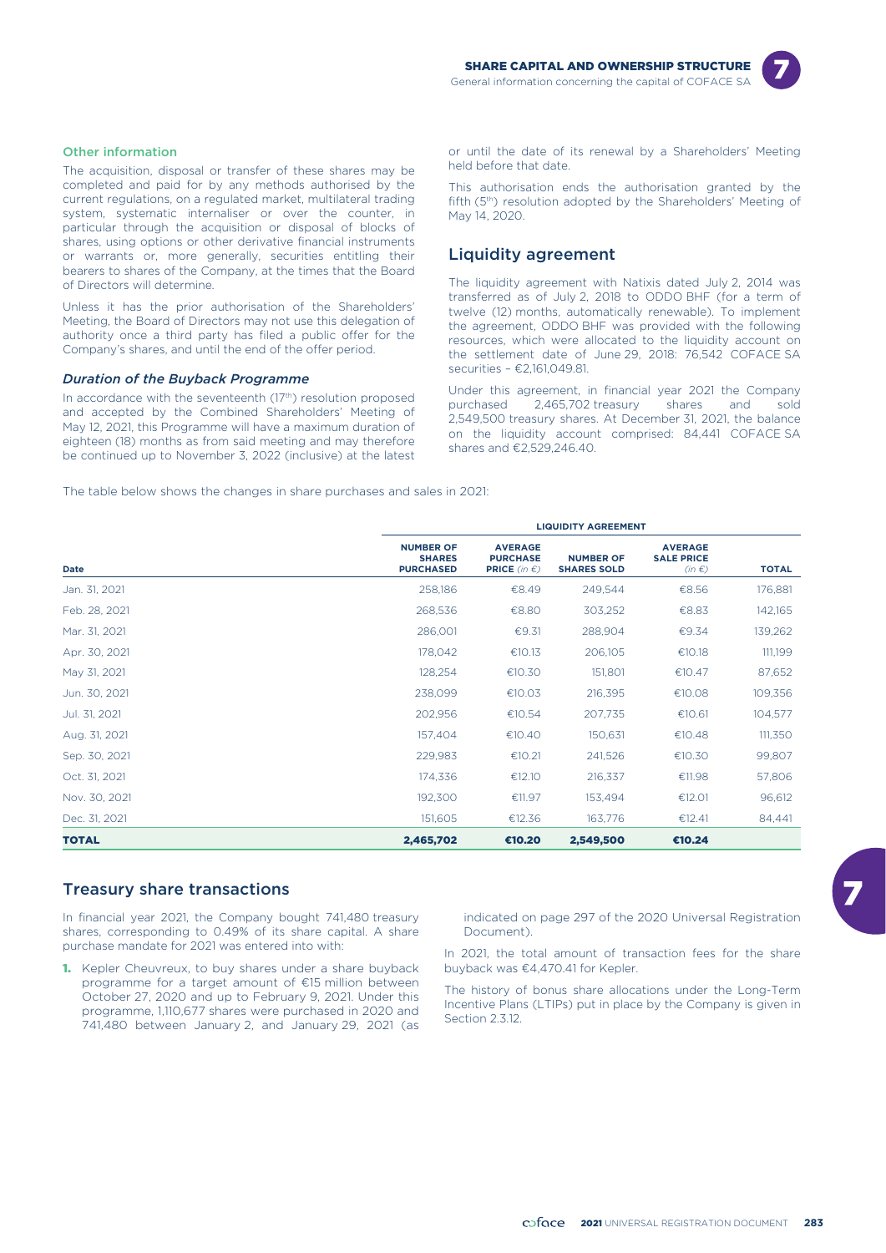

#### Other information

The acquisition, disposal or transfer of these shares may be completed and paid for by any methods authorised by the current regulations, on a regulated market, multilateral trading system, systematic internaliser or over the counter, in particular through the acquisition or disposal of blocks of shares, using options or other derivative financial instruments or warrants or, more generally, securities entitling their bearers to shares of the Company, at the times that the Board of Directors will determine.

Unless it has the prior authorisation of the Shareholders' Meeting, the Board of Directors may not use this delegation of authority once a third party has filed a public offer for the Company's shares, and until the end of the offer period.

#### *Duration of the Buyback Programme*

In accordance with the seventeenth  $(17<sup>th</sup>)$  resolution proposed and accepted by the Combined Shareholders' Meeting of May 12, 2021, this Programme will have a maximum duration of eighteen (18) months as from said meeting and may therefore be continued up to November 3, 2022 (inclusive) at the latest

or until the date of its renewal by a Shareholders' Meeting held before that date.

This authorisation ends the authorisation granted by the fifth (5<sup>th</sup>) resolution adopted by the Shareholders' Meeting of May 14, 2020.

#### Liquidity agreement

The liquidity agreement with Natixis dated July 2, 2014 was transferred as of July 2, 2018 to ODDO BHF (for a term of twelve (12) months, automatically renewable). To implement the agreement, ODDO BHF was provided with the following resources, which were allocated to the liquidity account on the settlement date of June 29, 2018: 76,542 COFACE SA securities – €2,161,049.81.

Under this agreement, in financial year 2021 the Company purchased 2,465,702 treasury shares and sold 2,549,500 treasury shares. At December 31, 2021, the balance on the liquidity account comprised: 84,441 COFACE SA shares and €2,529,246.40.

The table below shows the changes in share purchases and sales in 2021:

|               | <b>LIQUIDITY AGREEMENT</b>                            |                                                                    |                                        |                                                   |              |  |  |  |
|---------------|-------------------------------------------------------|--------------------------------------------------------------------|----------------------------------------|---------------------------------------------------|--------------|--|--|--|
| Date          | <b>NUMBER OF</b><br><b>SHARES</b><br><b>PURCHASED</b> | <b>AVERAGE</b><br><b>PURCHASE</b><br><b>PRICE</b> (in $\epsilon$ ) | <b>NUMBER OF</b><br><b>SHARES SOLD</b> | <b>AVERAGE</b><br><b>SALE PRICE</b><br>$(in \in)$ | <b>TOTAL</b> |  |  |  |
| Jan. 31, 2021 | 258,186                                               | €8.49                                                              | 249,544                                | €8.56                                             | 176,881      |  |  |  |
| Feb. 28, 2021 | 268,536                                               | €8.80                                                              | 303,252                                | €8.83                                             | 142,165      |  |  |  |
| Mar. 31, 2021 | 286,001                                               | €9.31                                                              | 288,904                                | €9.34                                             | 139,262      |  |  |  |
| Apr. 30, 2021 | 178,042                                               | €10.13                                                             | 206,105                                | €10.18                                            | 111,199      |  |  |  |
| May 31, 2021  | 128,254                                               | €10.30                                                             | 151,801                                | €10.47                                            | 87,652       |  |  |  |
| Jun. 30, 2021 | 238,099                                               | €10.03                                                             | 216,395                                | €10.08                                            | 109,356      |  |  |  |
| Jul. 31, 2021 | 202,956                                               | €10.54                                                             | 207,735                                | €10.61                                            | 104,577      |  |  |  |
| Aug. 31, 2021 | 157,404                                               | €10.40                                                             | 150,631                                | €10.48                                            | 111,350      |  |  |  |
| Sep. 30, 2021 | 229,983                                               | €10.21                                                             | 241,526                                | €10.30                                            | 99,807       |  |  |  |
| Oct. 31, 2021 | 174,336                                               | €12.10                                                             | 216,337                                | €11.98                                            | 57,806       |  |  |  |
| Nov. 30, 2021 | 192,300                                               | €11.97                                                             | 153,494                                | €12.01                                            | 96,612       |  |  |  |
| Dec. 31, 2021 | 151,605                                               | €12.36                                                             | 163,776                                | €12.41                                            | 84,441       |  |  |  |
| <b>TOTAL</b>  | 2,465,702                                             | €10.20                                                             | 2,549,500                              | €10.24                                            |              |  |  |  |

#### Treasury share transactions

In financial year 2021, the Company bought 741,480 treasury shares, corresponding to 0.49% of its share capital. A share purchase mandate for 2021 was entered into with:

1. Kepler Cheuvreux, to buy shares under a share buyback programme for a target amount of €15 million between October 27, 2020 and up to February 9, 2021. Under this programme, 1,110,677 shares were purchased in 2020 and 741,480 between January 2, and January 29, 2021 (as

indicated on page 297 of the 2020 Universal Registration Document).

In 2021, the total amount of transaction fees for the share buyback was €4,470.41 for Kepler.

The history of bonus share allocations under the Long-Term Incentive Plans (LTIPs) put in place by the Company is given in Section 2.3.12.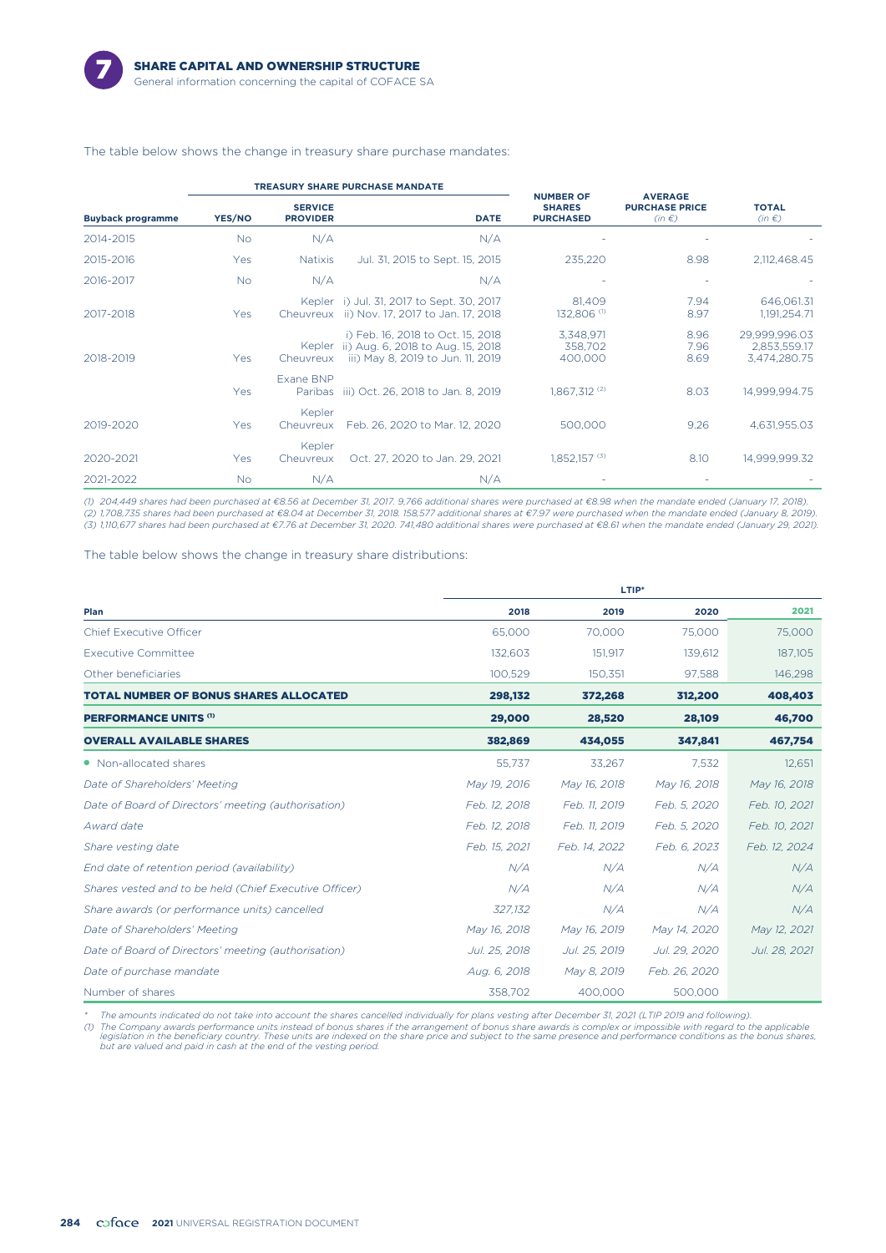

#### The table below shows the change in treasury share purchase mandates:

|                          |            |                                   | <b>TREASURY SHARE PURCHASE MANDATE</b>                                                                      |                                                       |                                                       |                                               |
|--------------------------|------------|-----------------------------------|-------------------------------------------------------------------------------------------------------------|-------------------------------------------------------|-------------------------------------------------------|-----------------------------------------------|
| <b>Buyback programme</b> | YES/NO     | <b>SERVICE</b><br><b>PROVIDER</b> | <b>DATE</b>                                                                                                 | <b>NUMBER OF</b><br><b>SHARES</b><br><b>PURCHASED</b> | <b>AVERAGE</b><br><b>PURCHASE PRICE</b><br>$(in \in)$ | <b>TOTAL</b><br>$(in \in)$                    |
| 2014-2015                | No.        | N/A                               | N/A                                                                                                         |                                                       |                                                       |                                               |
| 2015-2016                | Yes        | <b>Natixis</b>                    | Jul. 31, 2015 to Sept. 15, 2015                                                                             | 235.220                                               | 8.98                                                  | 2,112,468.45                                  |
| 2016-2017                | <b>No</b>  | N/A                               | N/A                                                                                                         |                                                       |                                                       |                                               |
| 2017-2018                | Yes        |                                   | Kepler i) Jul. 31, 2017 to Sept. 30, 2017<br>Cheuvreux ii) Nov. 17, 2017 to Jan. 17, 2018                   | 81,409<br>132,806 <sup>(1)</sup>                      | 7.94<br>8.97                                          | 646,061.31<br>1,191,254.71                    |
| 2018-2019                | <b>Yes</b> | Kepler<br>Cheuvreux               | i) Feb. 16, 2018 to Oct. 15, 2018<br>ii) Aug. 6, 2018 to Aug. 15, 2018<br>iii) May 8, 2019 to Jun. 11, 2019 | 3,348,971<br>358.702<br>400,000                       | 8.96<br>7.96<br>8.69                                  | 29,999,996.03<br>2.853.559.17<br>3,474,280.75 |
|                          | Yes        | Exane BNP                         | Paribas iii) Oct. 26, 2018 to Jan. 8, 2019                                                                  | $1,867,312^{(2)}$                                     | 8.03                                                  | 14.999.994.75                                 |
| 2019-2020                | Yes        | Kepler<br>Cheuvreux               | Feb. 26, 2020 to Mar. 12, 2020                                                                              | 500,000                                               | 9.26                                                  | 4.631.955.03                                  |
| 2020-2021                | Yes        | Kepler<br>Cheuvreux               | Oct. 27, 2020 to Jan. 29, 2021                                                                              | $1.852.157$ <sup>(3)</sup>                            | 8.10                                                  | 14.999.999.32                                 |
| 2021-2022                | No.        | N/A                               | N/A                                                                                                         |                                                       |                                                       |                                               |

*(1) 204,449 shares had been purchased at €8.56 at December 31, 2017. 9,766 additional shares were purchased at €8.98 when the mandate ended (January 17, 2018). (2) 1,708,735 shares had been purchased at €8.04 at December 31, 2018. 158,577 additional shares at €7.97 were purchased when the mandate ended (January 8, 2019). (3) 1,110,677 shares had been purchased at €7.76 at December 31, 2020. 741,480 additional shares were purchased at €8.61 when the mandate ended (January 29, 2021).*

The table below shows the change in treasury share distributions:

|                                                        | LTIP*         |               |               |               |  |  |  |
|--------------------------------------------------------|---------------|---------------|---------------|---------------|--|--|--|
| Plan                                                   | 2018          | 2019          | 2020          | 2021          |  |  |  |
| <b>Chief Executive Officer</b>                         | 65,000        | 70,000        | 75,000        | 75,000        |  |  |  |
| <b>Executive Committee</b>                             | 132,603       | 151.917       | 139.612       | 187, 105      |  |  |  |
| Other beneficiaries                                    | 100,529       | 150,351       | 97,588        | 146,298       |  |  |  |
| <b>TOTAL NUMBER OF BONUS SHARES ALLOCATED</b>          | 298,132       | 372,268       | 312,200       | 408,403       |  |  |  |
| <b>PERFORMANCE UNITS (1)</b>                           | 29,000        | 28,520        | 28,109        | 46,700        |  |  |  |
| <b>OVERALL AVAILABLE SHARES</b>                        | 382,869       | 434,055       | 347,841       | 467,754       |  |  |  |
| • Non-allocated shares                                 | 55,737        | 33,267        | 7,532         | 12,651        |  |  |  |
| Date of Shareholders' Meeting                          | May 19, 2016  | May 16, 2018  | May 16, 2018  | May 16, 2018  |  |  |  |
| Date of Board of Directors' meeting (authorisation)    | Feb. 12, 2018 | Feb. 11, 2019 | Feb. 5, 2020  | Feb. 10, 2021 |  |  |  |
| Award date                                             | Feb. 12, 2018 | Feb. 11, 2019 | Feb. 5, 2020  | Feb. 10, 2021 |  |  |  |
| Share vesting date                                     | Feb. 15, 2021 | Feb. 14, 2022 | Feb. 6, 2023  | Feb. 12, 2024 |  |  |  |
| End date of retention period (availability)            | N/A           | N/A           | N/A           | N/A           |  |  |  |
| Shares vested and to be held (Chief Executive Officer) | N/A           | N/A           | N/A           | N/A           |  |  |  |
| Share awards (or performance units) cancelled          | 327,132       | N/A           | N/A           | N/A           |  |  |  |
| Date of Shareholders' Meeting                          | May 16, 2018  | May 16, 2019  | May 14, 2020  | May 12, 2021  |  |  |  |
| Date of Board of Directors' meeting (authorisation)    | Jul. 25, 2018 | Jul. 25, 2019 | Jul. 29, 2020 | Jul. 28, 2021 |  |  |  |
| Date of purchase mandate                               | Aug. 6, 2018  | May 8, 2019   | Feb. 26, 2020 |               |  |  |  |
| Number of shares                                       | 358,702       | 400,000       | 500,000       |               |  |  |  |

*\* The amounts indicated do not take into account the shares cancelled individually for plans vesting after December 31, 2021 (LTIP 2019 and following).* (1) The Company awards performance units instead of bonus shares if the arrangement of bonus share awards is complex or impossible with regard to the applicable<br>legislation in the beligitation are indexed on the share pric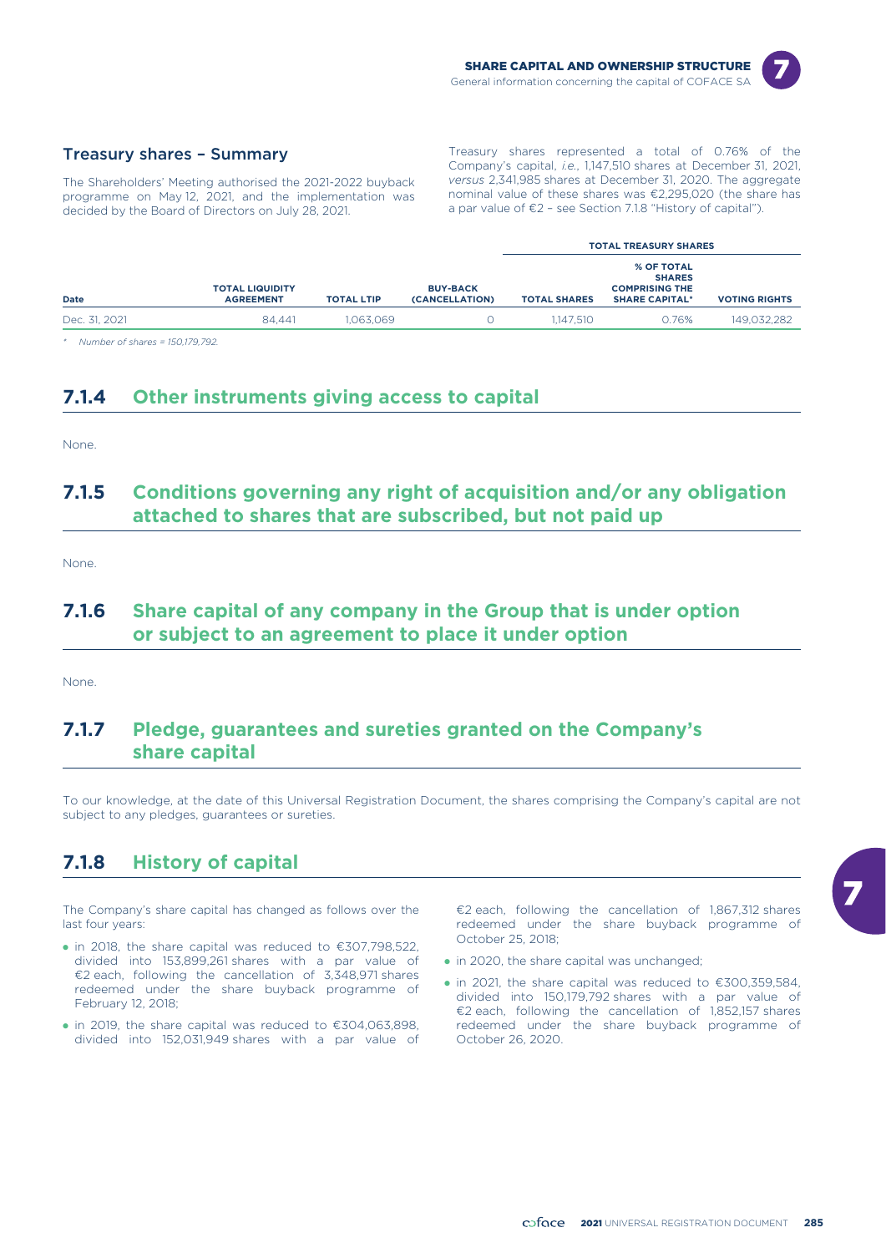

#### Treasury shares – Summary

The Shareholders' Meeting authorised the 2021-2022 buyback programme on May 12, 2021, and the implementation was decided by the Board of Directors on July 28, 2021.

Treasury shares represented a total of 0.76% of the Company's capital, *i.e.*, 1,147,510 shares at December 31, 2021, *versus* 2,341,985 shares at December 31, 2020. The aggregate nominal value of these shares was €2,295,020 (the share has a par value of €2 – see Section 7.1.8 "History of capital").

|               |                                            |                   |                                   | <b>TOTAL TREASURY SHARES</b> |                                                                                      |                      |  |  |
|---------------|--------------------------------------------|-------------------|-----------------------------------|------------------------------|--------------------------------------------------------------------------------------|----------------------|--|--|
| Date          | <b>TOTAL LIQUIDITY</b><br><b>AGREEMENT</b> | <b>TOTAL LTIP</b> | <b>BUY-BACK</b><br>(CANCELLATION) | <b>TOTAL SHARES</b>          | <b>% OF TOTAL</b><br><b>SHARES</b><br><b>COMPRISING THE</b><br><b>SHARE CAPITAL*</b> | <b>VOTING RIGHTS</b> |  |  |
| Dec. 31, 2021 | 84.441                                     | 1.063.069         |                                   | 1.147.510                    | 0.76%                                                                                | 149,032,282          |  |  |

*\* Number of shares = 150,179,792.*

### **7.1.4 Other instruments giving access to capital**

None.

### **7.1.5 Conditions governing any right of acquisition and/or any obligation attached to shares that are subscribed, but not paid up**

None.

### **7.1.6 Share capital of any company in the Group that is under option or subject to an agreement to place it under option**

None.

### **7.1.7 Pledge, guarantees and sureties granted on the Company's share capital**

To our knowledge, at the date of this Universal Registration Document, the shares comprising the Company's capital are not subject to any pledges, guarantees or sureties.

### **7.1.8 History of capital**

The Company's share capital has changed as follows over the last four years:

- in 2018, the share capital was reduced to  $\epsilon$ 307,798,522, divided into 153,899,261 shares with a par value of €2 each, following the cancellation of 3,348,971 shares redeemed under the share buyback programme of February 12, 2018;
- $\bullet$  in 2019, the share capital was reduced to  $\epsilon$ 304,063,898, divided into 152,031,949 shares with a par value of

€2 each, following the cancellation of 1,867,312 shares redeemed under the share buyback programme of October 25, 2018;

- in 2020, the share capital was unchanged;
- $\bullet$  in 2021, the share capital was reduced to  $\epsilon$ 300,359,584, divided into 150,179,792 shares with a par value of €2 each, following the cancellation of 1,852,157 shares redeemed under the share buyback programme of October 26, 2020.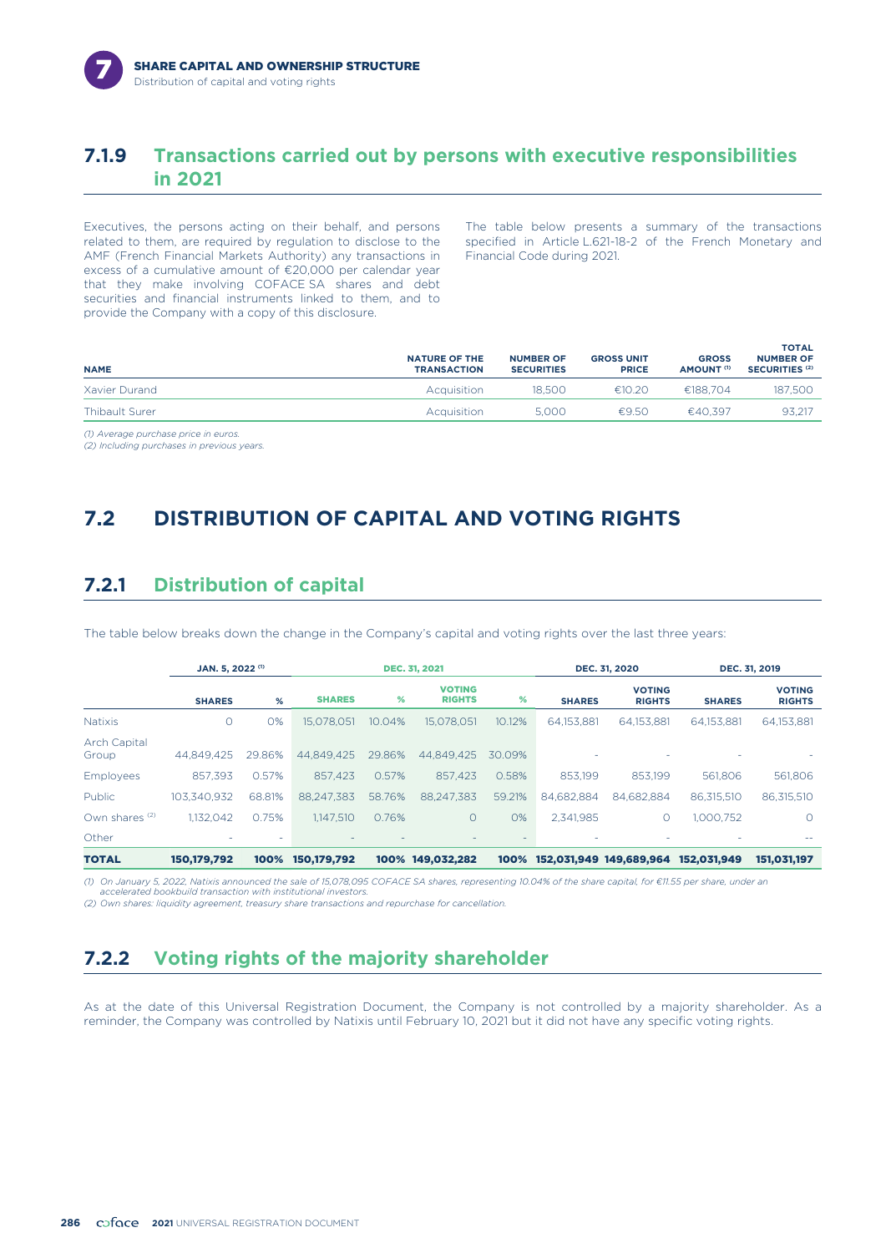### **7.1.9 Transactions carried out by persons with executive responsibilities in 2021**

Executives, the persons acting on their behalf, and persons related to them, are required by regulation to disclose to the AMF (French Financial Markets Authority) any transactions in excess of a cumulative amount of €20,000 per calendar year that they make involving COFACE SA shares and debt securities and financial instruments linked to them, and to provide the Company with a copy of this disclosure.

The table below presents a summary of the transactions specified in Article L.621-18-2 of the French Monetary and Financial Code during 2021.

| <b>NAME</b>    | <b>NATURE OF THE</b><br><b>TRANSACTION</b> | <b>NUMBER OF</b><br><b>SECURITIES</b> | <b>GROSS UNIT</b><br><b>PRICE</b> | <b>GROSS</b><br>AMOUNT <sup>(1)</sup> | <b>TOTAL</b><br><b>NUMBER OF</b><br>SECURITIES <sup>(2)</sup> |
|----------------|--------------------------------------------|---------------------------------------|-----------------------------------|---------------------------------------|---------------------------------------------------------------|
| Xavier Durand  | Acquisition                                | 18.500                                | €10.20                            | €188.704                              | 187.500                                                       |
| Thibault Surer | Acquisition                                | 5.000                                 | €9.50                             | €40.397                               | 93.217                                                        |

*(1) Average purchase price in euros.*

*(2) Including purchases in previous years.*

# **7.2 DISTRIBUTION OF CAPITAL AND VOTING RIGHTS**

### **7.2.1 Distribution of capital**

The table below breaks down the change in the Company's capital and voting rights over the last three years:

|                              | JAN. 5, 2022 <sup>(1)</sup> |        |               |        | <b>DEC. 31, 2021</b>           |        | DEC. 31, 2020 |                                |               | DEC. 31, 2019                  |
|------------------------------|-----------------------------|--------|---------------|--------|--------------------------------|--------|---------------|--------------------------------|---------------|--------------------------------|
|                              | <b>SHARES</b>               | %      | <b>SHARES</b> | %      | <b>VOTING</b><br><b>RIGHTS</b> | %      | <b>SHARES</b> | <b>VOTING</b><br><b>RIGHTS</b> | <b>SHARES</b> | <b>VOTING</b><br><b>RIGHTS</b> |
| <b>Natixis</b>               | $\circ$                     | 0%     | 15.078.051    | 10.04% | 15.078.051                     | 10.12% | 64.153.881    | 64,153,881                     | 64,153,881    | 64,153,881                     |
| <b>Arch Capital</b><br>Group | 44.849.425                  | 29.86% | 44.849.425    | 29.86% | 44.849.425                     | 30.09% |               |                                |               |                                |
| Employees                    | 857.393                     | 0.57%  | 857.423       | 0.57%  | 857.423                        | 0.58%  | 853.199       | 853.199                        | 561.806       | 561,806                        |
| <b>Public</b>                | 103.340.932                 | 68.81% | 88.247.383    | 58.76% | 88.247.383                     | 59.21% | 84.682.884    | 84.682.884                     | 86.315.510    | 86,315,510                     |
| Own shares <sup>(2)</sup>    | 1.132.042                   | 0.75%  | 1.147.510     | 0.76%  | $\circ$                        | 0%     | 2,341,985     | $\circ$                        | 1,000,752     | O                              |
| Other                        |                             | ۰      |               |        |                                | ۰.     |               |                                |               |                                |
| <b>TOTAL</b>                 | 150,179,792                 | 100%   | 150, 179, 792 |        | 100% 149,032,282               |        |               | 100% 152,031,949 149,689,964   | 152.031.949   | 151,031,197                    |

(1) On January 5, 2022, Natixis announced the sale of 15,078,095 COFACE SA shares, representing 10.04% of the share capital, for €11.55 per share, under an<br>accelerated bookbuild transaction with institutional investors.

*(2) Own shares: liquidity agreement, treasury share transactions and repurchase for cancellation.*

### **7.2.2 Voting rights of the majority shareholder**

As at the date of this Universal Registration Document, the Company is not controlled by a majority shareholder. As a reminder, the Company was controlled by Natixis until February 10, 2021 but it did not have any specific voting rights.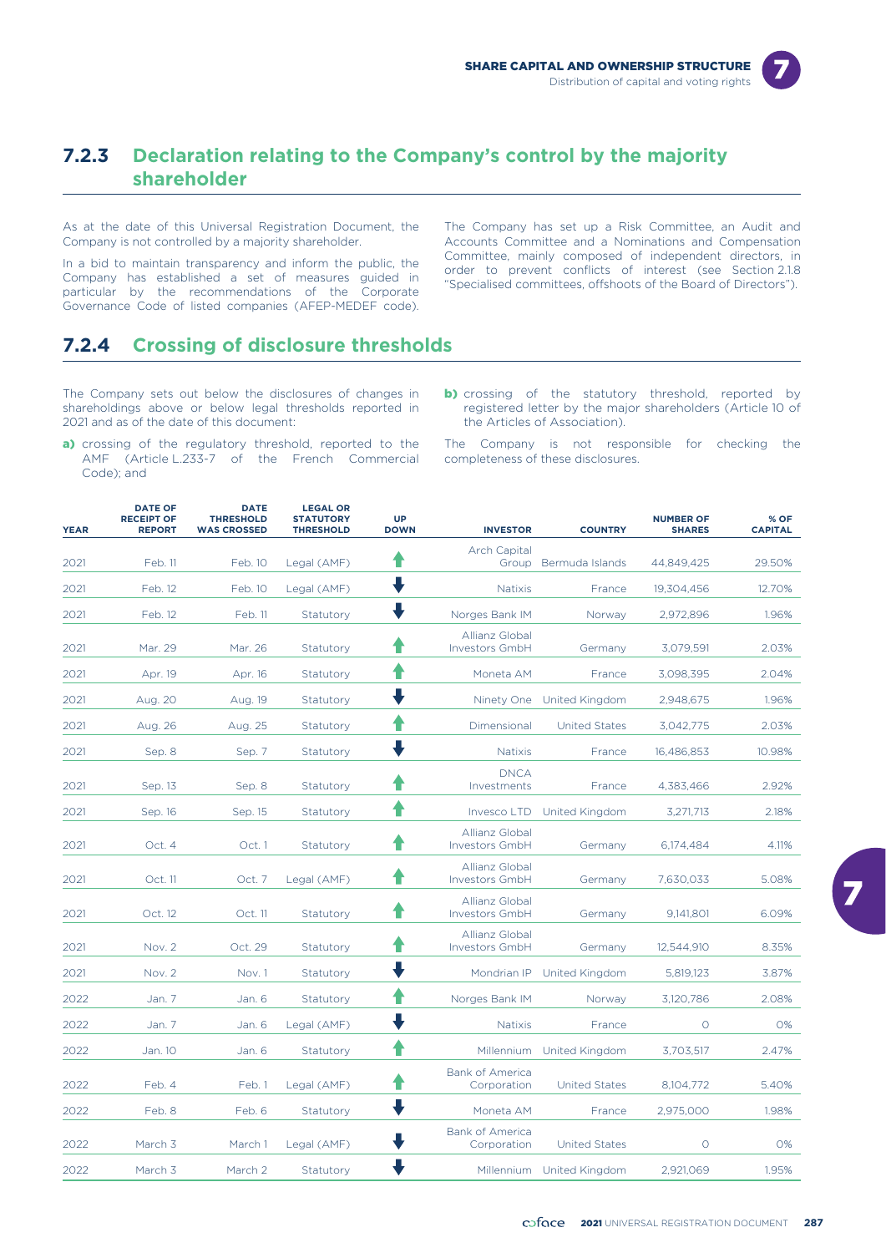

### **7.2.3 Declaration relating to the Company's control by the majority shareholder**

As at the date of this Universal Registration Document, the Company is not controlled by a majority shareholder.

In a bid to maintain transparency and inform the public, the<br>Committee, mainly composed or independent directors, in<br>Company has established a set of measures guided in<br>particular by the recommendations of the Corporate<br>Sp Governance Code of listed companies (AFEP-MEDEF code).

The Company has set up a Risk Committee, an Audit and Accounts Committee and a Nominations and Compensation<br>Committee, mainly composed of independent directors, in

### **7.2.4 Crossing of disclosure thresholds**

The Company sets out below the disclosures of changes in shareholdings above or below legal thresholds reported in 2021 and as of the date of this document:

- a) crossing of the regulatory threshold, reported to the AMF (Article L.233-7 of the French Commercial Code); and
- **b)** crossing of the statutory threshold, reported by registered letter by the major shareholders (Article 10 of the Articles of Association).

The Company is not responsible for checking the completeness of these disclosures.

| <b>YEAR</b> | <b>DATE OF</b><br><b>RECEIPT OF</b><br><b>REPORT</b> | <b>DATE</b><br><b>THRESHOLD</b><br><b>WAS CROSSED</b> | <b>LEGAL OR</b><br><b>STATUTORY</b><br><b>THRESHOLD</b> | <b>UP</b><br><b>DOWN</b> | <b>INVESTOR</b>                       | <b>COUNTRY</b>            | <b>NUMBER OF</b><br><b>SHARES</b> | % OF<br><b>CAPITAL</b> |
|-------------|------------------------------------------------------|-------------------------------------------------------|---------------------------------------------------------|--------------------------|---------------------------------------|---------------------------|-----------------------------------|------------------------|
|             |                                                      |                                                       |                                                         |                          | <b>Arch Capital</b>                   |                           |                                   |                        |
| 2021        | Feb. 11                                              | Feb. 10                                               | Legal (AMF)                                             | Ŧ                        | Group                                 | Bermuda Islands           | 44,849,425                        | 29.50%                 |
| 2021        | Feb. 12                                              | Feb. 10                                               | Legal (AMF)                                             |                          | <b>Natixis</b>                        | France                    | 19.304.456                        | 12.70%                 |
| 2021        | Feb. 12                                              | Feb. 11                                               | Statutory                                               |                          | Norges Bank IM                        | Norway                    | 2,972,896                         | 1.96%                  |
| 2021        | Mar. 29                                              | Mar. 26                                               | Statutory                                               |                          | Allianz Global<br>Investors GmbH      | Germany                   | 3,079,591                         | 2.03%                  |
| 2021        | Apr. 19                                              | Apr. 16                                               | Statutory                                               |                          | Moneta AM<br>France                   |                           | 3,098,395                         | 2.04%                  |
| 2021        | Aug. 20                                              | Aug. 19                                               | Statutory                                               |                          | Ninety One United Kingdom             |                           | 2,948,675                         | 1.96%                  |
| 2021        | Aug. 26                                              | Aug. 25                                               | Statutory                                               |                          | Dimensional<br><b>United States</b>   |                           | 3,042,775                         | 2.03%                  |
| 2021        | Sep. 8                                               | Sep. 7                                                | Statutory                                               |                          | <b>Natixis</b>                        | France                    | 16,486,853                        | 10.98%                 |
| 2021        | Sep. 13                                              | Sep. 8                                                | Statutory                                               |                          | <b>DNCA</b><br>Investments<br>France  |                           | 4,383,466                         | 2.92%                  |
| 2021        | Sep. 16                                              | Sep. 15                                               | Statutory                                               |                          | Invesco LTD                           | United Kingdom            | 3,271,713                         | 2.18%                  |
| 2021        | Oct. 4                                               | Oct. 1                                                | Statutory                                               |                          | Allianz Global<br>Investors GmbH      | Germany                   | 6,174,484                         | 4.11%                  |
| 2021        | Oct. 11                                              | Oct. 7                                                | Legal (AMF)                                             |                          | Allianz Global<br>Investors GmbH      | Germany                   | 7,630,033                         | 5.08%                  |
| 2021        | Oct. 12                                              | Oct. 11                                               | Statutory                                               |                          | Allianz Global<br>Investors GmbH      | Germany                   | 9,141,801                         | 6.09%                  |
| 2021        | Nov. 2                                               | Oct. 29                                               | Statutory                                               |                          | Allianz Global<br>Investors GmbH      | Germany                   |                                   | 8.35%                  |
| 2021        | Nov. 2                                               | Nov.1                                                 | Statutory                                               |                          | Mondrian IP                           | United Kingdom            | 5,819,123                         | 3.87%                  |
| 2022        | Jan. 7                                               | Jan. 6                                                | Statutory                                               |                          | Norges Bank IM                        | Norway                    | 3,120,786                         | 2.08%                  |
| 2022        | Jan. 7                                               | Jan. 6                                                | Legal (AMF)                                             |                          | <b>Natixis</b>                        | France                    | $\circ$                           | 0%                     |
| 2022        | Jan. 10                                              | Jan. 6                                                | Statutory                                               |                          |                                       | Millennium United Kingdom | 3,703,517                         | 2.47%                  |
| 2022        | Feb. 4                                               | Feb. 1                                                | Legal (AMF)                                             |                          | <b>Bank of America</b><br>Corporation | <b>United States</b>      | 8,104,772                         | 5.40%                  |
| 2022        | Feb. 8                                               | Feb. 6                                                | Statutory                                               |                          | Moneta AM                             | France                    | 2,975,000                         | 1.98%                  |
| 2022        | March 3                                              | March 1                                               | Legal (AMF)                                             |                          | <b>Bank of America</b><br>Corporation | <b>United States</b>      | $\Omega$                          | 0%                     |
| 2022        | March <sub>3</sub>                                   | March 2                                               | Statutory                                               |                          |                                       | Millennium United Kingdom | 2,921,069                         | 1.95%                  |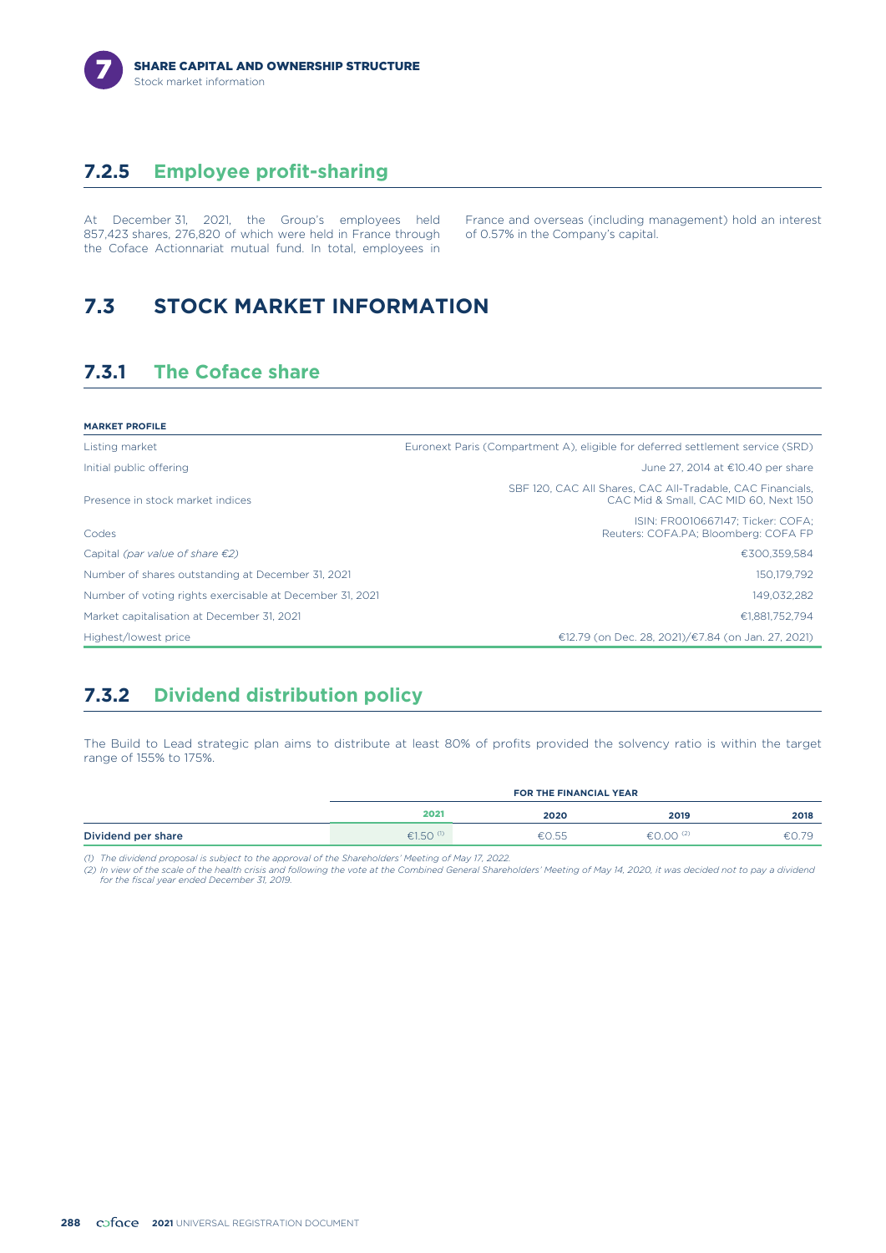### **7.2.5 Employee profit-sharing**

At December 31, 2021, the Group's employees held France and overseas (including management) hold an interest 857,423 shares, 276,820 of which were held in France through of 0.57% in the Company's capital. 857,423 shares, 276,820 of which were held in France through the Coface Actionnariat mutual fund. In total, employees in

# **7.3 STOCK MARKET INFORMATION**

### **7.3.1 The Coface share**

| <b>MARKET PROFILE</b>                                    |                                                                                                     |
|----------------------------------------------------------|-----------------------------------------------------------------------------------------------------|
| Listing market                                           | Euronext Paris (Compartment A), eligible for deferred settlement service (SRD)                      |
| Initial public offering                                  | June 27, 2014 at €10.40 per share                                                                   |
| Presence in stock market indices                         | SBF 120, CAC All Shares, CAC All-Tradable, CAC Financials,<br>CAC Mid & Small, CAC MID 60, Next 150 |
| Codes                                                    | ISIN: FR0010667147: Ticker: COFA:<br>Reuters: COFA.PA; Bloomberg: COFA FP                           |
| Capital (par value of share $\epsilon$ 2)                | €300,359,584                                                                                        |
| Number of shares outstanding at December 31, 2021        | 150.179.792                                                                                         |
| Number of voting rights exercisable at December 31, 2021 | 149,032,282                                                                                         |
| Market capitalisation at December 31, 2021               | €1.881.752.794                                                                                      |
| Highest/lowest price                                     | €12.79 (on Dec. 28, 2021)/€7.84 (on Jan. 27, 2021)                                                  |

### **7.3.2 Dividend distribution policy**

The Build to Lead strategic plan aims to distribute at least 80% of profits provided the solvency ratio is within the target range of 155% to 175%.

|                    | <b>FOR THE FINANCIAL YEAR</b> |       |                |       |
|--------------------|-------------------------------|-------|----------------|-------|
|                    | 2021                          | 2020  | 2019           | 2018  |
| Dividend per share | €1.50 $(0)$                   | €0.55 | €0.00 $^{(2)}$ | €0.79 |

*(1) The dividend proposal is subject to the approval of the Shareholders' Meeting of May 17, 2022.*

(2) In view of the scale of the health crisis and following the vote at the Combined General Shareholders' Meeting of May 14, 2020, it was decided not to pay a dividenc<br>for the fiscal year ended December 31, 2019.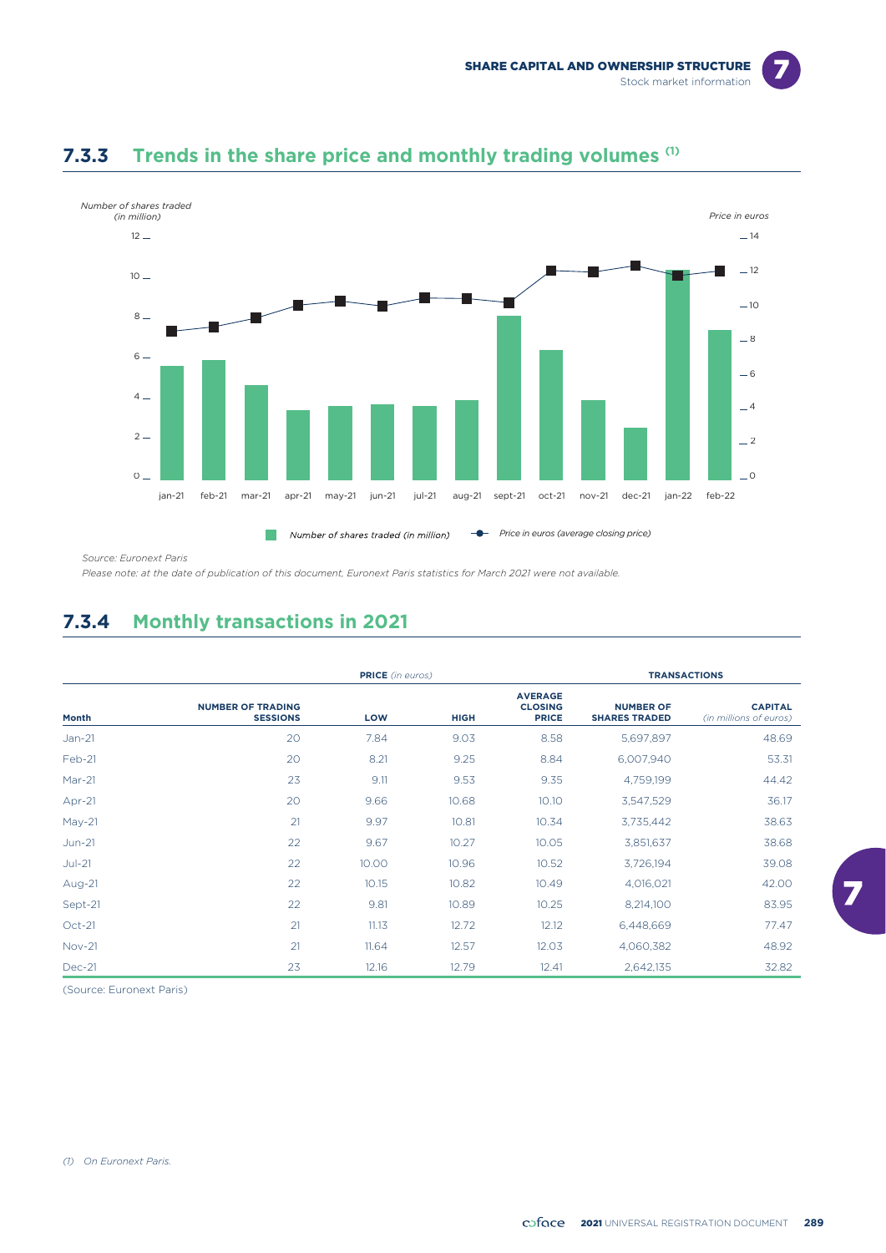

### **Trends in the share price and monthly trading volumes (1) 7.3.3**

*Source: Euronext Paris*

*Please note: at the date of publication of this document, Euronext Paris statistics for March 2021 were not available.*

### **7.3.4 Monthly transactions in 2021**

|               | <b>PRICE</b> (in euros)                     |       |             |                                                  | <b>TRANSACTIONS</b>                      |                                          |  |
|---------------|---------------------------------------------|-------|-------------|--------------------------------------------------|------------------------------------------|------------------------------------------|--|
| Month         | <b>NUMBER OF TRADING</b><br><b>SESSIONS</b> | LOW   | <b>HIGH</b> | <b>AVERAGE</b><br><b>CLOSING</b><br><b>PRICE</b> | <b>NUMBER OF</b><br><b>SHARES TRADED</b> | <b>CAPITAL</b><br>(in millions of euros) |  |
| $Jan-21$      | 20                                          | 7.84  | 9.03        | 8.58                                             | 5,697,897                                | 48.69                                    |  |
| Feb-21        | 20                                          | 8.21  | 9.25        | 8.84                                             | 6,007,940                                | 53.31                                    |  |
| $Mar-21$      | 23                                          | 9.11  | 9.53        | 9.35                                             | 4,759,199                                | 44.42                                    |  |
| Apr-21        | 20                                          | 9.66  | 10.68       | 10.10                                            | 3,547,529                                | 36.17                                    |  |
| $May-21$      | 21                                          | 9.97  | 10.81       | 10.34                                            | 3,735,442                                | 38.63                                    |  |
| $Jun-21$      | 22                                          | 9.67  | 10.27       | 10.05                                            | 3,851,637                                | 38.68                                    |  |
| $Jul-21$      | 22                                          | 10.00 | 10.96       | 10.52                                            | 3,726,194                                | 39.08                                    |  |
| Aug-21        | 22                                          | 10.15 | 10.82       | 10.49                                            | 4,016,021                                | 42.00                                    |  |
| Sept-21       | 22                                          | 9.81  | 10.89       | 10.25                                            | 8,214,100                                | 83.95                                    |  |
| $Oct-21$      | 21                                          | 11.13 | 12.72       | 12.12                                            | 6,448,669                                | 77.47                                    |  |
| <b>Nov-21</b> | 21                                          | 11.64 | 12.57       | 12.03                                            | 4,060,382                                | 48.92                                    |  |
| <b>Dec-21</b> | 23                                          | 12.16 | 12.79       | 12.41                                            | 2,642,135                                | 32.82                                    |  |

(Source: Euronext Paris)

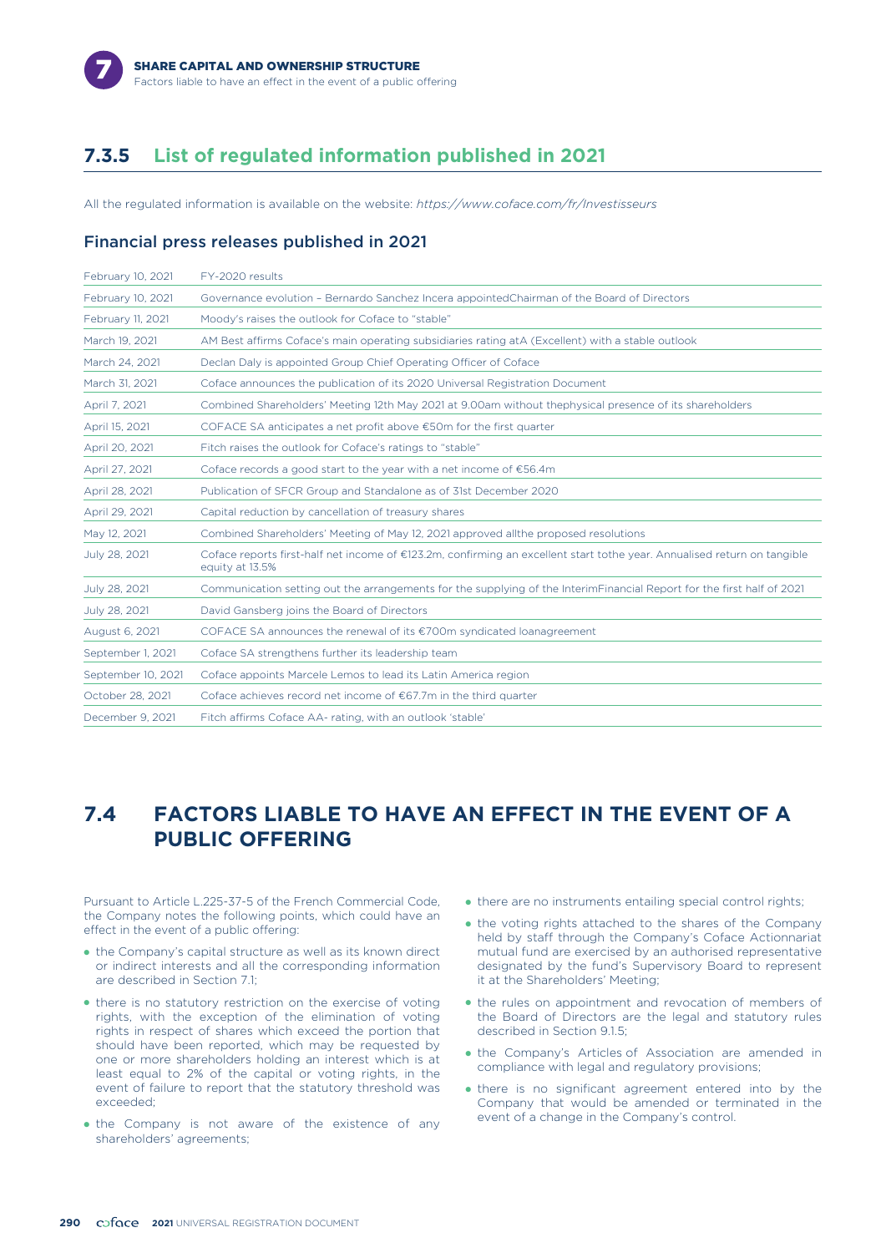

### **7.3.5 List of regulated information published in 2021**

All the regulated information is available on the website: *https://www.coface.com/fr/Investisseurs*

#### Financial press releases published in 2021

| February 10, 2021  | FY-2020 results                                                                                                                             |
|--------------------|---------------------------------------------------------------------------------------------------------------------------------------------|
| February 10, 2021  | Governance evolution - Bernardo Sanchez Incera appointedChairman of the Board of Directors                                                  |
| February 11, 2021  | Moody's raises the outlook for Coface to "stable"                                                                                           |
| March 19, 2021     | AM Best affirms Coface's main operating subsidiaries rating at A (Excellent) with a stable outlook                                          |
| March 24, 2021     | Declan Daly is appointed Group Chief Operating Officer of Coface                                                                            |
| March 31, 2021     | Coface announces the publication of its 2020 Universal Registration Document                                                                |
| April 7, 2021      | Combined Shareholders' Meeting 12th May 2021 at 9.00am without thephysical presence of its shareholders                                     |
| April 15, 2021     | COFACE SA anticipates a net profit above €50m for the first quarter                                                                         |
| April 20, 2021     | Fitch raises the outlook for Coface's ratings to "stable"                                                                                   |
| April 27, 2021     | Coface records a good start to the year with a net income of $£56.4m$                                                                       |
| April 28, 2021     | Publication of SFCR Group and Standalone as of 31st December 2020                                                                           |
| April 29, 2021     | Capital reduction by cancellation of treasury shares                                                                                        |
| May 12, 2021       | Combined Shareholders' Meeting of May 12, 2021 approved all the proposed resolutions                                                        |
| July 28, 2021      | Coface reports first-half net income of €123.2m, confirming an excellent start tothe year. Annualised return on tangible<br>equity at 13.5% |
| July 28, 2021      | Communication setting out the arrangements for the supplying of the InterimFinancial Report for the first half of 2021                      |
| July 28, 2021      | David Gansberg joins the Board of Directors                                                                                                 |
| August 6, 2021     | COFACE SA announces the renewal of its $\epsilon$ 700m syndicated loanagreement                                                             |
| September 1, 2021  | Coface SA strengthens further its leadership team                                                                                           |
| September 10, 2021 | Coface appoints Marcele Lemos to lead its Latin America region                                                                              |
| October 28, 2021   | Coface achieves record net income of €67.7m in the third quarter                                                                            |
| December 9, 2021   | Fitch affirms Coface AA- rating, with an outlook 'stable'                                                                                   |

### **7.4 FACTORS LIABLE TO HAVE AN EFFECT IN THE EVENT OF A PUBLIC OFFERING**

Pursuant to Article L.225-37-5 of the French Commercial Code, the Company notes the following points, which could have an effect in the event of a public offering:

- the Company's capital structure as well as its known direct or indirect interests and all the corresponding information are described in Section 7.1;
- there is no statutory restriction on the exercise of voting rights, with the exception of the elimination of voting rights in respect of shares which exceed the portion that should have been reported, which may be requested by one or more shareholders holding an interest which is at least equal to 2% of the capital or voting rights, in the event of failure to report that the statutory threshold was exceeded;
- the Company is not aware of the existence of any shareholders' agreements;
- there are no instruments entailing special control rights;
- the voting rights attached to the shares of the Company held by staff through the Company's Coface Actionnariat mutual fund are exercised by an authorised representative designated by the fund's Supervisory Board to represent it at the Shareholders' Meeting;
- the rules on appointment and revocation of members of the Board of Directors are the legal and statutory rules described in Section 9.1.5;
- the Company's Articles of Association are amended in compliance with legal and regulatory provisions;
- there is no significant agreement entered into by the Company that would be amended or terminated in the event of a change in the Company's control.